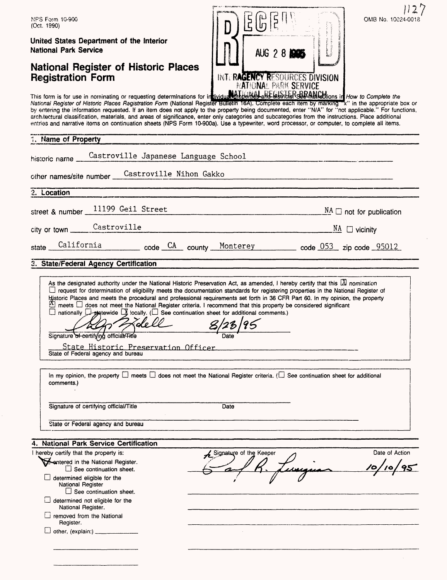| OMB No. 10024-0018<br>NPS Form 10-900<br>(Oct. 1990)                                                                                                                                                                                                                                                                                                                                                                                                                                                                                                                                                                                                                                                                                                                                                                                                                                                                                           |
|------------------------------------------------------------------------------------------------------------------------------------------------------------------------------------------------------------------------------------------------------------------------------------------------------------------------------------------------------------------------------------------------------------------------------------------------------------------------------------------------------------------------------------------------------------------------------------------------------------------------------------------------------------------------------------------------------------------------------------------------------------------------------------------------------------------------------------------------------------------------------------------------------------------------------------------------|
| United States Department of the Interior<br><b>National Park Service</b><br>AUG 28 205                                                                                                                                                                                                                                                                                                                                                                                                                                                                                                                                                                                                                                                                                                                                                                                                                                                         |
| <b>National Register of Historic Places</b><br>INTERAGENCY RESOURCES DIVISION<br><b>Registration Form</b><br><b>NATIONAL PARK SERVICE</b>                                                                                                                                                                                                                                                                                                                                                                                                                                                                                                                                                                                                                                                                                                                                                                                                      |
| This form is for use in nominating or requesting determinations for individual properties and Gishbien See Manuellions in How to Complete the<br>National Register of Historic Places Registration Form (National Register Bulletin 16A). Complete each item by marking "x" in the appropriate box or<br>by entering the information requested. If an item does not apply to the property being documented, enter "N/A" for "not applicable." For functions,<br>arch tectural classification, materials, and areas of significance, enter only categories and subcategories from the instructions. Piace additional<br>entries and narrative items on continuation sheets (NPS Form 10-900a). Use a typewriter, word processor, or computer, to complete all items.                                                                                                                                                                            |
| 1. Name of Property                                                                                                                                                                                                                                                                                                                                                                                                                                                                                                                                                                                                                                                                                                                                                                                                                                                                                                                            |
| Castroville Japanese Language School<br>historic name                                                                                                                                                                                                                                                                                                                                                                                                                                                                                                                                                                                                                                                                                                                                                                                                                                                                                          |
| Castroville Nihon Gakko<br>other names/site number                                                                                                                                                                                                                                                                                                                                                                                                                                                                                                                                                                                                                                                                                                                                                                                                                                                                                             |
| 2. Location                                                                                                                                                                                                                                                                                                                                                                                                                                                                                                                                                                                                                                                                                                                                                                                                                                                                                                                                    |
| 11199 Geil Street<br>$\underline{NA}$ $\square$ not for publication<br>street & number                                                                                                                                                                                                                                                                                                                                                                                                                                                                                                                                                                                                                                                                                                                                                                                                                                                         |
| Castroville<br>$\frac{NA}{\Box}$ vicinity<br>city or town                                                                                                                                                                                                                                                                                                                                                                                                                                                                                                                                                                                                                                                                                                                                                                                                                                                                                      |
| California code CA county Monterey code 053 zip code 95012<br>state                                                                                                                                                                                                                                                                                                                                                                                                                                                                                                                                                                                                                                                                                                                                                                                                                                                                            |
| 3. State/Federal Agency Certification                                                                                                                                                                                                                                                                                                                                                                                                                                                                                                                                                                                                                                                                                                                                                                                                                                                                                                          |
| As the designated authority under the National Historic Preservation Act, as amended, I hereby certify that this $\boxtimes$ nomination<br>□ request for determination of eligibility meets the documentation standards for registering properties in the National Register of<br>Historic Places and meets the procedural and professional requirements set forth in 36 CFR Part 60. In my opinion, the property<br>$\overline{\Delta}$ meets $\Box$ does not meet the National Register criteria. I recommend that this property be considered significant<br>$\square$ nationally $\square$ statewide $\square$ iocally. ( $\square$ See continuation sheet for additional comments.)<br>8/23/95<br>Signature of certifying official/Title<br>State Historic Preservation Officer<br>and the control of the control of the control of the control of the control of the control of the control of the<br>State of Federal agency and bureau |
| In my opinion, the property $\square$ meets $\square$ does not meet the National Register criteria. ( $\square$ See continuation sheet for additional<br>comments.)                                                                                                                                                                                                                                                                                                                                                                                                                                                                                                                                                                                                                                                                                                                                                                            |
| Signature of certifying official/Title<br>Date                                                                                                                                                                                                                                                                                                                                                                                                                                                                                                                                                                                                                                                                                                                                                                                                                                                                                                 |
| State or Federal agency and bureau                                                                                                                                                                                                                                                                                                                                                                                                                                                                                                                                                                                                                                                                                                                                                                                                                                                                                                             |
| 4. National Park Service Certification                                                                                                                                                                                                                                                                                                                                                                                                                                                                                                                                                                                                                                                                                                                                                                                                                                                                                                         |
| I hereby certify that the property is:<br>Date of Action<br>Signature of the Keeper                                                                                                                                                                                                                                                                                                                                                                                                                                                                                                                                                                                                                                                                                                                                                                                                                                                            |
| <b>M</b> -antered in the National Register.<br>$\Box$ See continuation sheet.                                                                                                                                                                                                                                                                                                                                                                                                                                                                                                                                                                                                                                                                                                                                                                                                                                                                  |
| $\Box$ determined eligible for the<br>National Register                                                                                                                                                                                                                                                                                                                                                                                                                                                                                                                                                                                                                                                                                                                                                                                                                                                                                        |
| $\Box$ See continuation sheet.<br>determined not eligible for the<br>National Register.                                                                                                                                                                                                                                                                                                                                                                                                                                                                                                                                                                                                                                                                                                                                                                                                                                                        |
| removed from the National<br>Register.                                                                                                                                                                                                                                                                                                                                                                                                                                                                                                                                                                                                                                                                                                                                                                                                                                                                                                         |
|                                                                                                                                                                                                                                                                                                                                                                                                                                                                                                                                                                                                                                                                                                                                                                                                                                                                                                                                                |
|                                                                                                                                                                                                                                                                                                                                                                                                                                                                                                                                                                                                                                                                                                                                                                                                                                                                                                                                                |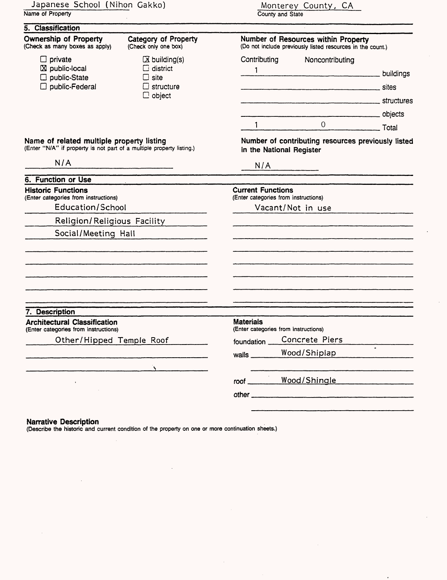| 5. Classification                                                                                                                                                           |                                                                                                   |  |  |
|-----------------------------------------------------------------------------------------------------------------------------------------------------------------------------|---------------------------------------------------------------------------------------------------|--|--|
|                                                                                                                                                                             |                                                                                                   |  |  |
| <b>Ownership of Property</b><br>Category of Property<br>(Check as many boxes as apply)<br>(Check only one box)                                                              | Number of Resources within Property<br>(Do not include previously listed resources in the count.) |  |  |
| $\Box$ private<br>$X$ building(s)<br>$\boxtimes$ public-local<br>$\Box$ district<br>public-State<br>$\square$ site<br>□ public-Federal<br>$\Box$ structure<br>$\Box$ object | Contributing<br>Noncontributing<br>1 buildings<br>structures structures                           |  |  |
|                                                                                                                                                                             | 0 Total<br>$1 - 1$                                                                                |  |  |
| Name of related multiple property listing<br>(Enter "N/A" if property is not part of a multiple property listing.)                                                          | Number of contributing resources previously listed<br>in the National Register                    |  |  |
| N/A                                                                                                                                                                         | N/A                                                                                               |  |  |
| 6. Function or Use                                                                                                                                                          |                                                                                                   |  |  |
| <b>Historic Functions</b><br>(Enter categories from instructions)<br>Education/School                                                                                       | <b>Current Functions</b><br>(Enter categories from instructions)                                  |  |  |
|                                                                                                                                                                             | Vacant/Not in use                                                                                 |  |  |
| Religion/Religious Facility                                                                                                                                                 |                                                                                                   |  |  |
| Social/Meeting Hall                                                                                                                                                         |                                                                                                   |  |  |
|                                                                                                                                                                             |                                                                                                   |  |  |
|                                                                                                                                                                             |                                                                                                   |  |  |
| 7. Description                                                                                                                                                              |                                                                                                   |  |  |
| <b>Architectural Classification</b><br>(Enter categories from instructions)                                                                                                 | <b>Materials</b><br>(Enter categories from instructions)                                          |  |  |
| Other/Hipped Temple Roof                                                                                                                                                    | Concrete Piers<br>foundation _                                                                    |  |  |
|                                                                                                                                                                             | Wood/Shiplap<br>wails __                                                                          |  |  |
|                                                                                                                                                                             |                                                                                                   |  |  |
|                                                                                                                                                                             | Wood/Shingle<br>root                                                                              |  |  |
|                                                                                                                                                                             |                                                                                                   |  |  |

 $\bar{\tau}$ 

 $\hat{\boldsymbol{\cdot}$ 

 $\cdot$ 

#### **Narrative Description**

 $\bar{z}$ 

l,

(Describe the historic and current condition of the property on one or more continuation sheets.)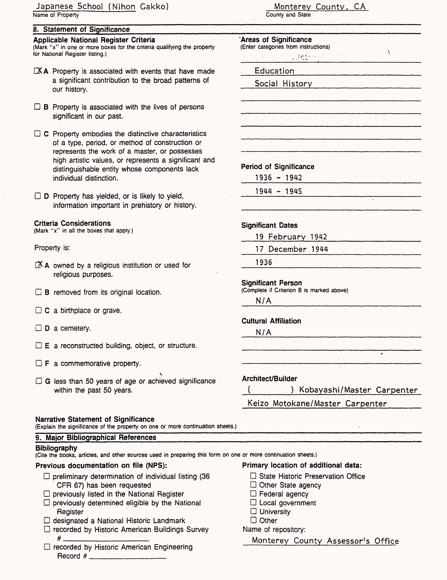### Japanese School (Nihon Gakko) Name of Property

### **8. Statement of Significance**

### **Applicable National Register Criteria**

(Mark "x" in one or more boxes for the criteria qualifying the property for National Register listing.)

- EX A Property is associated with events that have made a significant contribution to the broad patterns of our history.
- $\Box$  B Property is associated with the lives of persons significant in our past.
- $\Box$  C Property embodies the distinctive characteristics of a type, period, or method of construction or represents the work of a master, or possesses high artistic values, or represents a significant and distinguishable entity whose components lack individual distinction.
- $\Box$  D Property has yielded, or is likely to yield, information important in prehistory or history.

### **Criteria Considerations**

(Mark "x" in all the boxes that apply.)

### Property is:

- $X$  A owned by a religious institution or used for religious purposes.
- **B** removed from its original location.
- $\Box$  C a birthplace or grave.
- $\square$  **D** a cemetery.
- $\square$  E a reconstructed building, object, or structure.
- $\Box$  **F** a commemorative property.
- s D G less than 50 years of age or achieved significance within the past 50 years.

### **Narrative Statement of Significance**

(Explain the significance of the property on one or more continuation sheets.)

#### **9. Major Bibliographical References**

### **Bibliography**

(Cite the books, articles, and other sources used in preparing this form on one or more continuation sheets.)

### **Previous documentation on file (NPS):**

- $\Box$  preliminary determination of individual listing (36 CFR 67) has been requested
- $\square$  previously listed in the National Register
- $\square$  previously determined eligible by the National Register
- D designated a National Historic Landmark
- □ recorded by Historic American Buildings Survey #\_\_\_\_\_\_\_\_\_\_\_\_\_\_
- $\square$  recorded by Historic American Engineering Record # \_\_\_\_\_\_\_\_\_\_\_\_

#### Monterev County. CA County and State

#### **'Areas of Significance** (Enter categories from instructions)

- $\chi$ **Straight** Education
- Social History

### **Period of Significance**

- 1936 1942
- 1944 1945

### **Significant Dates**

19 February 1942

17 December 1944

1936

### **Significant Person**

(Complete if Criterion B is marked above)

N/A

#### **Cultural Affiliation**

**N/A**

### **Architect/Builder**

\_J\_\_\_\_\_\_) Kobayashi/Master Carpenter

Keizo Motokane/Master Carpenter\_\_\_\_\_

# **Primary location of additional data:**

- □ State Historic Preservation Office
- $\Box$  Other State agency
- D Federal agency
- $\Box$  Local government
- $\Box$  University
- □ Other

### Name of repository:

Monterey County Assessor's Office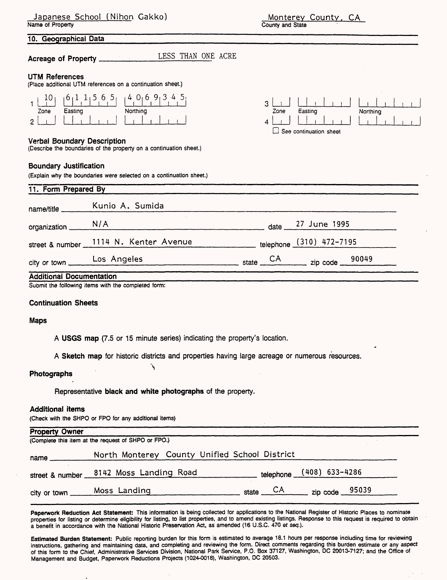Monterey County. CA County and State

#### **10. Geographical Data**

**Acreage of Property** LESS THAN ONE ACRE

#### **UTM References**

(Place additional UTM references on a continuation sheet.)

|      | $65_1$<br>$-1$ | $\mathcal{L}_{\mathbf{L}}$ |
|------|----------------|----------------------------|
| Zone | Easting        | Northing                   |
|      |                |                            |

#### Verbal Boundary Description

(Describe the boundaries of the property on a continuation sheet.)

#### **Boundary Justification**

(Explain why the boundaries were selected on a continuation sheet.)



| street & number 1114 N. Kenter Avenue | telephone (310) 472-7195 |
|---------------------------------------|--------------------------|
|                                       |                          |

#### **Continuation Sheets**

#### **Maps**

**A USGS map** (7.5 or 15 minute series) indicating the property's location.

**A Sketch map** for historic districts and properties having large acreage or numerous resources.

#### **Photographs**

Representative **black and white photographs** of the property.

**"s** 

#### **Additional items**

(Check with the SHPO or FPO for any additional items)

| <b>Property Owner</b>                               |                                               |                                                   |                          |  |
|-----------------------------------------------------|-----------------------------------------------|---------------------------------------------------|--------------------------|--|
| (Complete this item at the request of SHPO or FPO.) |                                               |                                                   |                          |  |
| name                                                | North Monterey County Unified School District |                                                   |                          |  |
|                                                     | street & number 8142 Moss Landing Road        |                                                   | telephone (408) 633-4286 |  |
|                                                     | city or town ______ Moss_Landing              | state $\overline{CA}$ zip code $\overline{95039}$ |                          |  |

**Paperwork Reduction Act Statement:** This information is being collected for applications to the National Register of Historic Places to nominate properties for listing or determine eligibility for listing, to list properties, and to amend existing listings. Response to this request is required to obtain a benefit in accordance with the National Historic Preservation Act, as amended (16 U.S.C. 470 et seq.).

**Estimated Burden Statement:** Public reporting burden for this form is estimated to average 18.1 hours per response including time for reviewing instructions, gathering and maintaining data, and completing and reviewing the form. Direct comments regarding this burden estimate or any aspect of this form to the Chief, Administrative Services Division, National Park Service, P.O. Box 37127, Washington, DC 20013-7127; and the Office of Management and Budget, Paperwork Reductions Projects (1024-0018), Washington, DC 20503.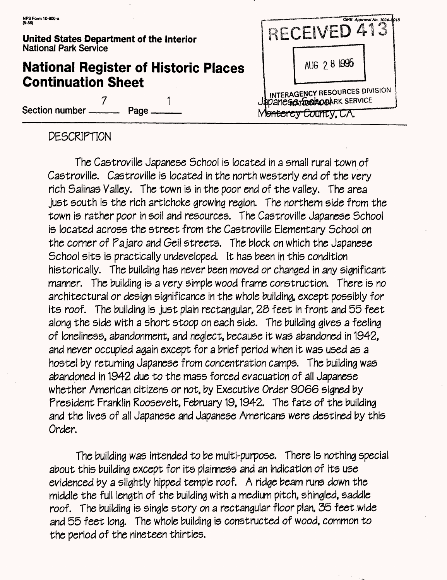**7**

# **National Register of Historic Places Continuation Sheet**

Section number

1 **Page** 

RECEIVED 413 AUG 2 8 1995 **INTERAGENCY RESOURCES DIVISION PO A TEST TOO A O CARK SERVICE** Monterey County, CA.

OMB Approval No. 1024-

مىما

# DESCRIPTION

The Castroville Japanese School Is located in a small rural town of Castroville. Castroville is located in the north westerly end of the very rich Salinas Valley. The town is in the poor end of the valley. The area just south Is the rich artichoke growing region. The northern side from the town Is rather poor in soil and resources. The Castroville Japanese School is located across the street from the Castroville Elementary School on the corner of Pajaro and Geil streets. The block on which the Japanese School sits is practically undeveloped. It has been in this condition historically. The building has never been moved or changed in any significant manner. The building is a very simple wood frame construction. There is no architectural or design significance in the whole building, except possibly for its roof. The building is just plain rectangular, 23 feet in front and 55 feet along the side with a short stoop on each side. The building gives a feeling of loneliness, abandonment, and neglect, because It was abandoned in 1942, and never occupied again except for a brief period when It was used as a hostel by returning Japanese from concentration camps. The building was abandoned In 1942 due to the mass forced evacuation of all Japanese whether American citizens or not, by Executive Order 9066 signed by President Franklin Roosevelt, February 19,1942. The fate of the building and the lives of all Japanese and Japanese Americans were destined by this Order.

The building was intended to be multi-purpose. There is nothing special about this building except for its plainness and an indication of its use evidenced by a slightly hipped temple roof. A ridge beam runs down the middle the full length of the building with a medium pitch, shingled, saddle roof. The building is single story on a rectangular floor plan, 35 feet wide and 55 feet long. The whole building is constructed of wood, common to the period of the nineteen thirties.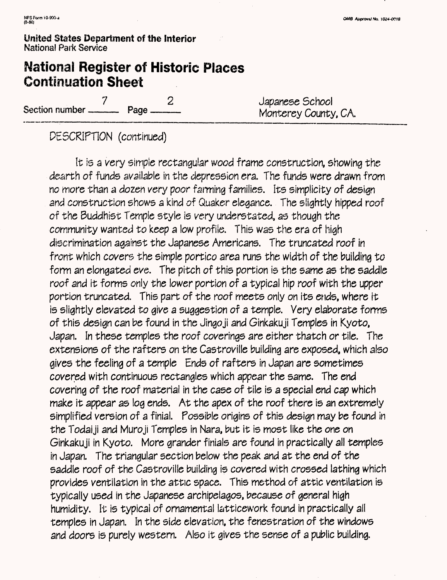# **National Register of Historic Places Continuation Sheet**

7 2 Japanese School Section number——— Page———\_\_\_\_\_\_\_\_\_Monterey County, CA.

PESCRIPTION (continued)

It is a very simple rectangular wood frame construction, showing the dearth of funds available in the depression era. The funds were drawn from no more than a dozen very poor fanning families. Its simplicity of design and construction shows a kind of Quaker elegance. The slightly hipped roof of the Buddhist Temple style is very understated, as though the community wanted to keep a low profile. This was the era of high discrimination against the Japanese Americans. The truncated roof in front which covers the simple portico area runs the width of the building to form an elongated eve. The pitch of this portion is the same as the saddle roof and it forms only the lower portion of a typical hip roof with the upper portion truncated. This part of the roof meets only on its ends, where it is slightly elevated to give a suggestion of a temple. Very elaborate forms of this design can be found in the Jingo ji and Ginkaku ji Temples in Kyoto, Japan. In these temples the roof coverings are either thatch or tile. The extensions of the rafters on the Castroville building are exposed, which also gives the feeling of a temple Ends of rafters in Japan are sometimes covered with continuous rectangles which appear the same. The end covering of the roof material in the case of tile is a special end cap which make it appear as log ends. At the apex of the roof there is an extremely simplified version of a finial. Possible origins of this design may be found in the Todaiji and Muroji Temples in Nara, but it is most like the one on Ginkakuji in Kyoto. More grander finials are found in practically all temples In Japan. The triangular section below the peak and at the end of the saddle roof of the Castroville building is covered with crossed lathing which provides ventilation in the attic space. This method of attic ventilation is typically used in the Japanese archipelagos, because of general high humidity. It is typical of ornamental latticework found in practically all temples in Japan. In the side elevation, the fenestration of the windows and doors is purely western. Also it gives the sense of a public building.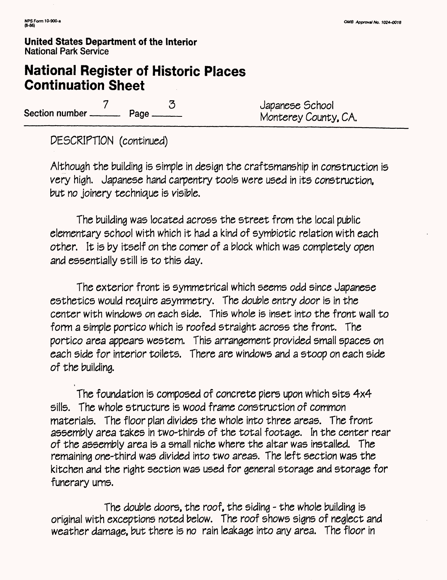# **National Register of Historic Places Continuation Sheet**

7 3 Japanese School **Section number——— Page———**\_\_\_\_\_\_\_\_\_Montarey County, CA.

PESCRIPTION (continued)

Although the building is simple in design the craftsmanship in construction is very high. Japanese hand carpentry tools were used in its construction, but no joinery technique is visible.

The building was located across the street from the local public elementary school with which it had a kind of symbiotic relation with each other. It is by itself on the corner of a block which was completely open and essentially still is to this day.

The exterior front is symmetrical which seems odd since Japanese esthetics would require asymmetry. The double entry door is in the center with windows on each side. This whole is inset into the front wall to form a simple portico which is roofed straight across the front. The portico area appears western. This arrangement provided small spaces on each side for interior toilets. There are windows and a stoop on each side of the building.

The foundation is composed of concrete piers upon which sits 4x4 sills. The whole structure is wood frame construction of common materials. The floor plan divides the whole into three areas. The front assembly area takes in two-thirds of the total footage. In the center rear of the assembly area is a small niche where the altar was installed. The remaining one-third was divided into two areas. The left section was the kitchen and the right section was used for general storage and storage for funerary urns.

The double doors, the roof, the siding - the whole building is original with exceptions noted below. The roof shows signs of neglect and weather damage, but there is no rain leakage into any area. The floor in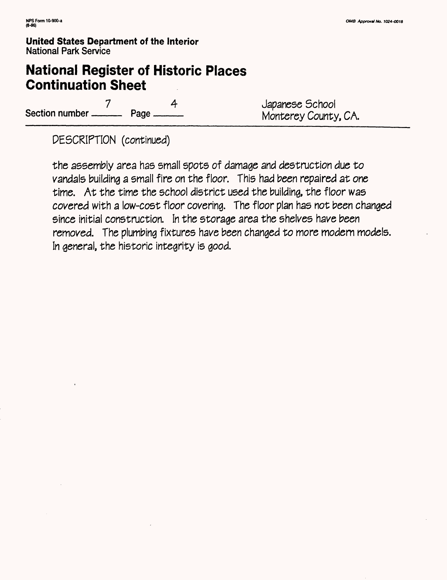# **National Register of Historic Places Continuation Sheet**

7 4 Japanese School

Monterey County, CA.

DESCRIPTION (continued)

the assembly area has small spots of damage and destruction due to vandals building a small fire on the floor. This had been repaired at one time. At the time the school district used the building, the floor was covered with a low-cost floor covering. The floor plan has not been changed since initial construction. In the storage area the shelves have been removed. The plumbing fixtures have been changed to more modern models. In general, the historic integrity is good.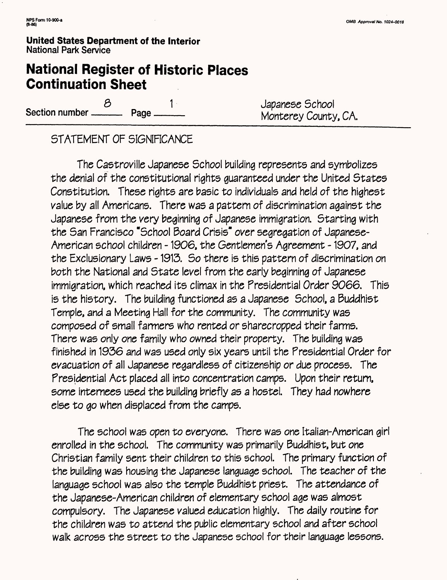# **National Register of Historic Places Continuation Sheet**

8 1 Japanese School<br>Section number ———— Page ———— Monterey County, CA.

# STATEMENT OF SIGNIFICANCE

The Castroville Japanese School building represents and symbolizes the denial of the constitutional rights guaranteed under the United States Constitution. These rights are basic to individuals and held of the highest value by all Americans. There was a pattern of discrimination against the Japanese from the very beginning of Japanese immigration. Starting with the San Francisco "School Board Crisis" over segregation of Japanese-American school children -1906, the Gentlemen's Agreement -1907, and the Exclusionary Laws -1913. So there is this pattern of discrimination on both the National and State level from the early beginning of Japanese immigration, which reached its climax in the Presidential Order 9066. This is the history. The building functioned as a Japanese School, a Buddhist Temple, and a Meeting Hall for the community. The community was composed of small farmers who rented or sharecropped their farms. There was only one family who owned their property. The building was finished in 1936 and was used only six years until the Presidential Order for evacuation of all Japanese regardless of citizenship or due process. The Presidential Act placed all into concentration camps. Upon their return, some internees used the building briefly as a hostel. They had nowhere else to go when displaced from the camps.

The school was open to everyone. There was one Italian-American girl enrolled in the school. The community was primarily Buddhist, but one Christian family sent their children to this school. The primary function of the building was housing the Japanese language school. The teacher of the language school was also the temple Buddhist priest. The attendance of the Japanese-American children of elementary school age was almost compulsory. The Japanese valued education highly. The daily routine for the children was to attend the public elementary school and after school walk across the street to the Japanese school for their language lessons.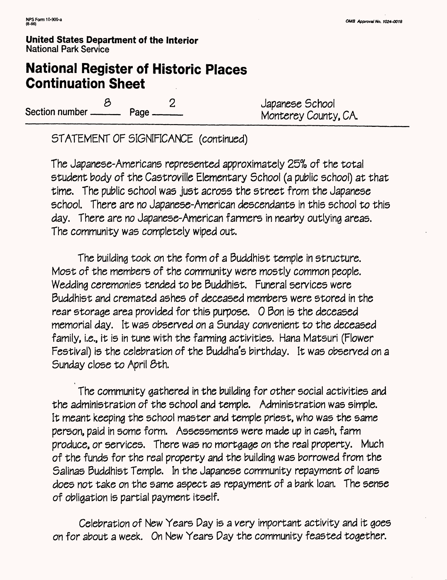# **National Register of Historic Places Continuation Sheet**

Section number  $\frac{8}{2}$  Page  $\frac{2}{2}$  Japanese School Monterey County, CA.

STATEMENT OF SIGNIFICANCE (continued)

The Japanese-Americans represented approximately 25% of the total student body of the Castroville Elementary School (a public school) at that time. The public school was just across the street from the Japanese school. There are no Japanese-American descendants in this school to this day. There are no Japanese-American farmers in nearby outlying areas. The community was completely wiped out.

The building took on the form of a Buddhist temple in structure. Most of the members of the community were mostly common people. Wedding ceremonies tended to be Buddhist. Funeral services were Buddhist and cremated ashes of deceased members were stored in the rear storage area provided for this purpose. 0 Bon is the deceased memorial day. It was observed on a Sunday convenient to the deceased family, i.e., it is in tune with the farming activities. Hana Matsuri (Flower Festival) is the celebration of the Buddha's birthday. It was observed on a Sunday close to April 6th.

The community gathered in the building for other social activities and the administration of the school and temple. Administration was simple. It meant keeping the school master and temple priest, who was the same person, paid in some form. Assessments were made up in cash, farm produce, or services. There was no mortgage on the real property. Much of the funds for the real property and the building was borrowed from the Salinas Buddhist Temple. In the Japanese community repayment of loans does not take on the same aspect as repayment of a bank loan. The sense of obligation is partial payment itself.

Celebration of New Years Day is a very important activity and it goes on for about a week. On New Years Pay the community feasted together.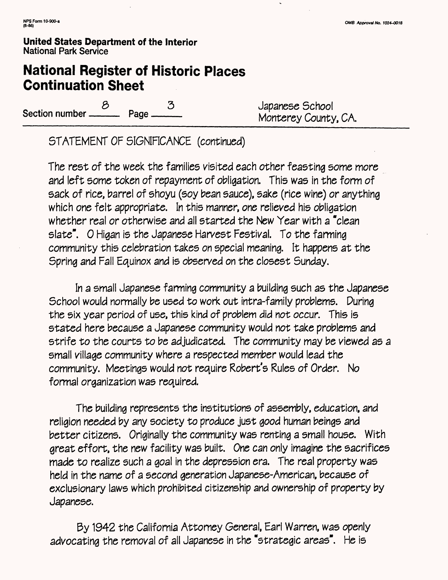# **National Register of Historic Places Continuation Sheet**

Section number  $\frac{8}{2}$  Page  $\frac{3}{2}$  Japanese School Monterey County, CA.

STATEMENT OF SIGNIFICANCE (continued)

The rest of the week the families visited each other feasting some more and left some token of repayment of obligation. This was in the form of sack of rice, barrel of shoyu (soy bean sauce), sake (rice wine) or anything which one felt appropriate. In this manner, one relieved his obligation whether real or otherwise and all started the New Year with a "clean slate". O Higan is the Japanese Harvest Festival. To the farming community this celebration takes on special meaning. It happens at the Spring and Fall Equinox and is observed on the closest Sunday.

In a small Japanese farming community a building such as the Japanese School would normally be used to work out intra-family problems. During the six year period of use, this kind of problem did not occur. This is stated here because a Japanese community would not take problems and strife to the courts to be adjudicated. The community may be viewed as a small village community where a respected member would lead the community. Meetings would not require Robert's Rules of Order. No formal organization was required.

The building represents the institutions of assembly, education, and religion needed by any society to produce just good human beings and better citizens. Originally the community was renting a small house. With areat effort, the new facility was built. One can only imagine the sacrifices made to realize such a goal in the depression era. The real property was held in the name of a second generation Japanese-American, because of exclusionary laws which prohibited citizenship and ownership of property by Japanese.

By 1942 the California Attorney General, Earl Warren, was openly advocating the removal of all Japanese in the "strategic areas". He is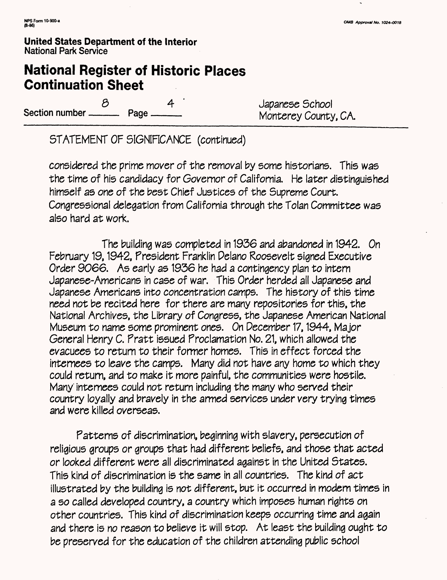# **National Register of Historic Places Continuation Sheet**

8 4 Japanese School<br>Rage 19 Monterey County Section number ———— Page ———— Monterey County, CA.

STATEMENT OF SIGNIFICANCE (continued)

considered the prime mover of the removal by some historians. This was the time of his candidacy for Governor of California. He later distinguished himself as one of the best Chief Justices of the Supreme Court. Congressional delegation from California through the Tolan Committee was also hard at work.

The building was completed in 1936 and abandoned in 1942. On February 19, 1942, President Franklin Pelano Roosevelt signed Executive Order 9066. As early as 1936 he had a contingency plan to intern Japanese-Americans in case of war. This Order herded all Japanese and Japanese Americans into concentration camps. The history of this time need not be recited here for there are many repositories for this, the National Archives, the Library of Congress, the Japanese American National Museum to name some prominent ones. On December 17, 1944, Major General Henry C. Pratt issued Proclamation No. 21, which allowed the evacuees to return to their former homes. This in effect forced the internees to leave the camps. Many did not have any home to which they could return, and to make it more painful, the communities were hostile. Many' internees could not return including the many who served their country loyally and bravely in the armed services under very trying times and were killed overseas.

Patterns of discrimination, beginning with slavery, persecution of religious groups or groups that had different beliefs, and those that acted or looked different were all discriminated against In the United States. This kind of discrimination is the same in all countries. The kind of act illustrated by the building is not different, but it occurred in modern times in a so called developed country, a country which imposes human rights on other countries. This kind of discrimination keeps occurring time and again and there is no reason to believe it will stop. At least the building ought to be preserved for the education of the children attending public school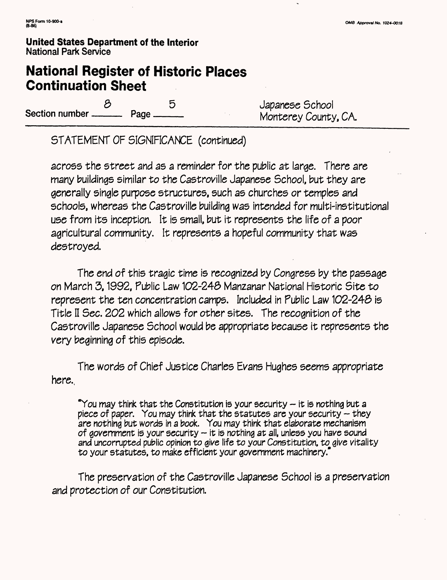# **National Register of Historic Places Continuation Sheet**

8 5 5 Japanese School<br>Annterey County Section number ————— Page ————————— Monterey County, CA.

STATEMENT OF SIGNIFICANCE (continued)

across the street and as a reminder for the public at large. There are many buildings similar to the Castroville Japanese School, but they are generally single purpose structures, such as churches or temples and schools, whereas the Castroville building was Intended for multi-institutional use from its inception. It is small, but it represents the life of a poor agricultural community. It represents a hopeful community that was destroyed.

The end of this tragic time is recognized by Congress by the passage on March 3,1992, Public Law 102-24S Manzanar National Historic Site to represent the ten concentration camps. Included in Public Law 102-248 is Title II Sec. 202 which allows for other sites. The recognition of the Castroville Japanese School would be appropriate because It represents the very beginning of this episode.

The words of Chief Justice Charles Evans Hughes seems appropriate here.

"You may think that the Constitution is your security  $-$  it is nothing but a piece of paper. You may think that the statutes are your security  $-$  they are nothing but words in a book. You may think that elaborate mechanism of government is your security  $-$  it is nothing at all, unless you have sound and uncorrupted public opinion to give life to your Constitution, to give vitality to your statutes, to make efficient your government machinery."

The preservation of the Castroville Japanese School is a preservation and protection of our Constitution.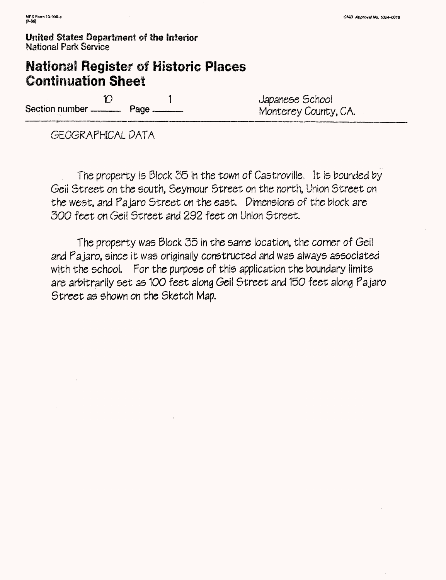# **National Register of Historic Places Continuation Sheet**

 $\mathcal{D}$ 1 Section number ————— Page —

Japanese School

GEOGRAPHICAL DATA

The property is Block 35 in the town of Castroville. It is bounded by Geii Street on the south, Seymour Street on the north, Union Street on the west, and Pajaro Street on the east. Pimensions of the block are 300 feet on Gel! Street and 292 feet on Union Street.

The property was Block 55 in the same location, the corner of Geii and Pajaro, since it was originally constructed and was always associated with the school. For the purpose of this application the boundary limits are arbitrarily set as 100 feet along Geil Street and 150 feet along Pajaro Street as shown on the Sketch Map.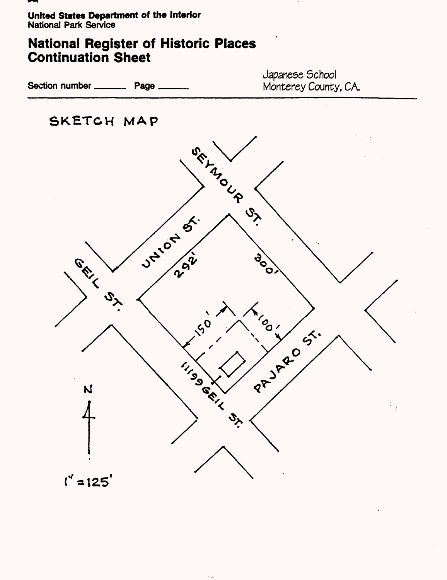

# **National Register of Historic Places Continuation Sheet**

Section number \_\_\_\_\_\_\_\_\_ Page \_

Japanese School Monterey County. CA.

**SKETCH MAP**



 $\cdot$  .  $\bar{s}$